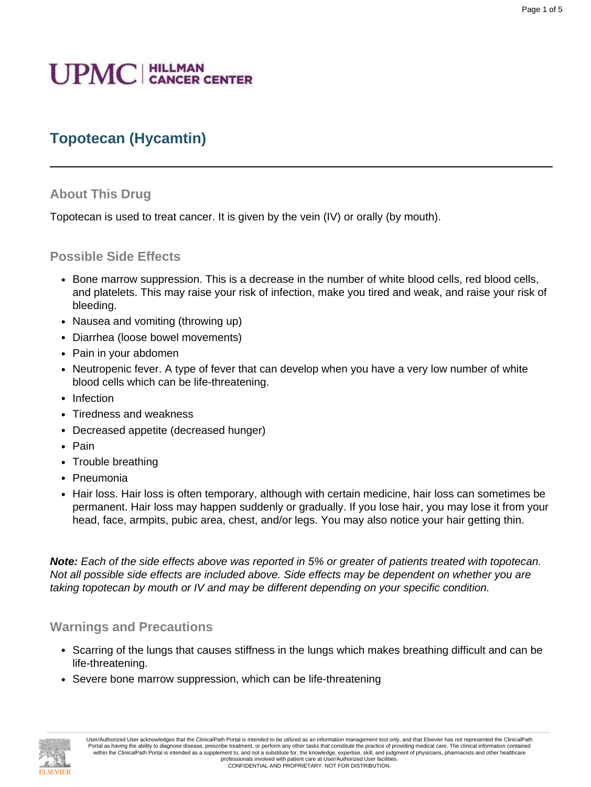# **UPMC** | HILLMAN

## **Topotecan (Hycamtin)**

#### **About This Drug**

Topotecan is used to treat cancer. It is given by the vein (IV) or orally (by mouth).

#### **Possible Side Effects**

- Bone marrow suppression. This is a decrease in the number of white blood cells, red blood cells, and platelets. This may raise your risk of infection, make you tired and weak, and raise your risk of bleeding.
- Nausea and vomiting (throwing up)
- Diarrhea (loose bowel movements)
- Pain in your abdomen
- Neutropenic fever. A type of fever that can develop when you have a very low number of white blood cells which can be life-threatening.
- Infection
- Tiredness and weakness
- Decreased appetite (decreased hunger)
- Pain
- Trouble breathing
- Pneumonia
- Hair loss. Hair loss is often temporary, although with certain medicine, hair loss can sometimes be permanent. Hair loss may happen suddenly or gradually. If you lose hair, you may lose it from your head, face, armpits, pubic area, chest, and/or legs. You may also notice your hair getting thin.

**Note:** Each of the side effects above was reported in 5% or greater of patients treated with topotecan. Not all possible side effects are included above. Side effects may be dependent on whether you are taking topotecan by mouth or IV and may be different depending on your specific condition.

#### **Warnings and Precautions**

- Scarring of the lungs that causes stiffness in the lungs which makes breathing difficult and can be life-threatening.
- Severe bone marrow suppression, which can be life-threatening

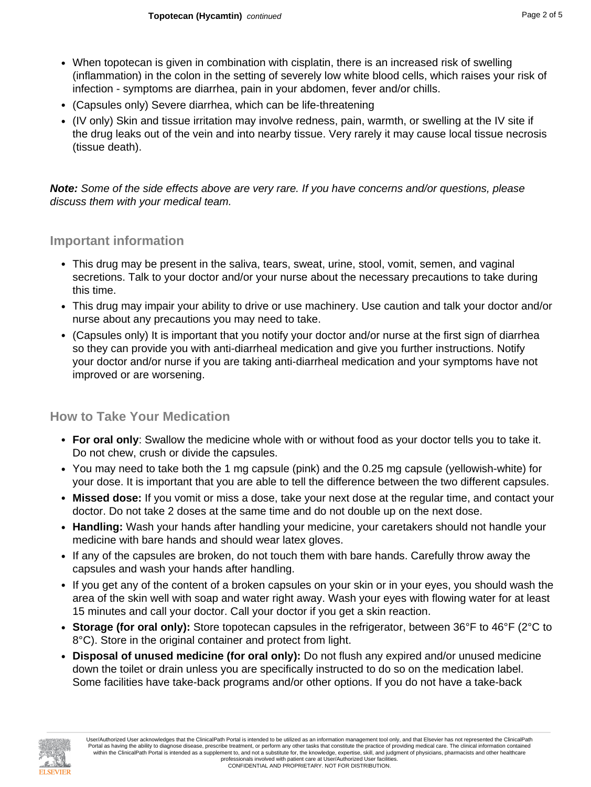- When topotecan is given in combination with cisplatin, there is an increased risk of swelling (inflammation) in the colon in the setting of severely low white blood cells, which raises your risk of infection - symptoms are diarrhea, pain in your abdomen, fever and/or chills.
- (Capsules only) Severe diarrhea, which can be life-threatening
- (IV only) Skin and tissue irritation may involve redness, pain, warmth, or swelling at the IV site if the drug leaks out of the vein and into nearby tissue. Very rarely it may cause local tissue necrosis (tissue death).

**Note:** Some of the side effects above are very rare. If you have concerns and/or questions, please discuss them with your medical team.

#### **Important information**

- This drug may be present in the saliva, tears, sweat, urine, stool, vomit, semen, and vaginal secretions. Talk to your doctor and/or your nurse about the necessary precautions to take during this time.
- This drug may impair your ability to drive or use machinery. Use caution and talk your doctor and/or nurse about any precautions you may need to take.
- (Capsules only) It is important that you notify your doctor and/or nurse at the first sign of diarrhea so they can provide you with anti-diarrheal medication and give you further instructions. Notify your doctor and/or nurse if you are taking anti-diarrheal medication and your symptoms have not improved or are worsening.

#### **How to Take Your Medication**

- **For oral only**: Swallow the medicine whole with or without food as your doctor tells you to take it. Do not chew, crush or divide the capsules.
- You may need to take both the 1 mg capsule (pink) and the 0.25 mg capsule (yellowish-white) for your dose. It is important that you are able to tell the difference between the two different capsules.
- **Missed dose:** If you vomit or miss a dose, take your next dose at the regular time, and contact your doctor. Do not take 2 doses at the same time and do not double up on the next dose.
- **Handling:** Wash your hands after handling your medicine, your caretakers should not handle your medicine with bare hands and should wear latex gloves.
- If any of the capsules are broken, do not touch them with bare hands. Carefully throw away the capsules and wash your hands after handling.
- If you get any of the content of a broken capsules on your skin or in your eyes, you should wash the area of the skin well with soap and water right away. Wash your eyes with flowing water for at least 15 minutes and call your doctor. Call your doctor if you get a skin reaction.
- **Storage (for oral only):** Store topotecan capsules in the refrigerator, between 36°F to 46°F (2°C to 8°C). Store in the original container and protect from light.
- **Disposal of unused medicine (for oral only):** Do not flush any expired and/or unused medicine down the toilet or drain unless you are specifically instructed to do so on the medication label. Some facilities have take-back programs and/or other options. If you do not have a take-back

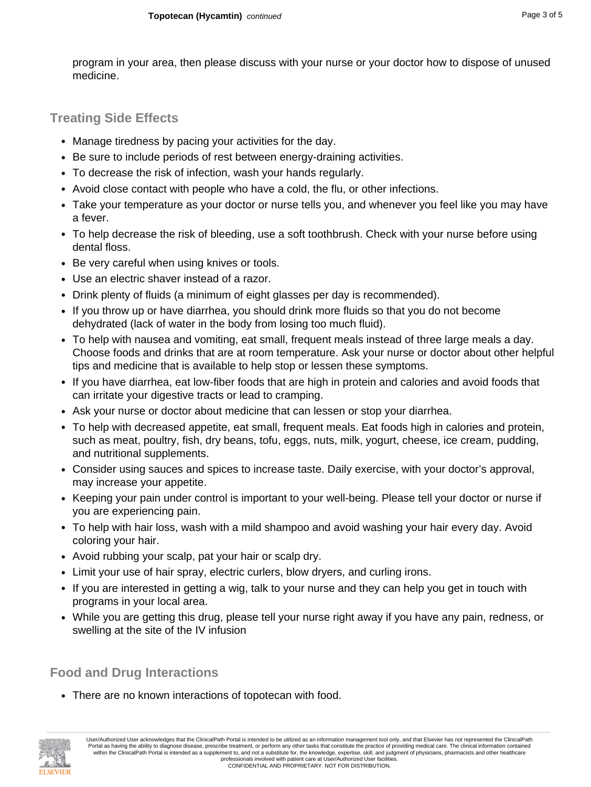program in your area, then please discuss with your nurse or your doctor how to dispose of unused medicine.

### **Treating Side Effects**

- Manage tiredness by pacing your activities for the day.
- Be sure to include periods of rest between energy-draining activities.
- To decrease the risk of infection, wash your hands regularly.
- Avoid close contact with people who have a cold, the flu, or other infections.
- Take your temperature as your doctor or nurse tells you, and whenever you feel like you may have a fever.
- To help decrease the risk of bleeding, use a soft toothbrush. Check with your nurse before using dental floss.
- Be very careful when using knives or tools.
- Use an electric shaver instead of a razor.
- Drink plenty of fluids (a minimum of eight glasses per day is recommended).
- If you throw up or have diarrhea, you should drink more fluids so that you do not become dehydrated (lack of water in the body from losing too much fluid).
- To help with nausea and vomiting, eat small, frequent meals instead of three large meals a day. Choose foods and drinks that are at room temperature. Ask your nurse or doctor about other helpful tips and medicine that is available to help stop or lessen these symptoms.
- If you have diarrhea, eat low-fiber foods that are high in protein and calories and avoid foods that can irritate your digestive tracts or lead to cramping.
- Ask your nurse or doctor about medicine that can lessen or stop your diarrhea.
- To help with decreased appetite, eat small, frequent meals. Eat foods high in calories and protein, such as meat, poultry, fish, dry beans, tofu, eggs, nuts, milk, yogurt, cheese, ice cream, pudding, and nutritional supplements.
- Consider using sauces and spices to increase taste. Daily exercise, with your doctor's approval, may increase your appetite.
- Keeping your pain under control is important to your well-being. Please tell your doctor or nurse if you are experiencing pain.
- To help with hair loss, wash with a mild shampoo and avoid washing your hair every day. Avoid coloring your hair.
- Avoid rubbing your scalp, pat your hair or scalp dry.
- Limit your use of hair spray, electric curlers, blow dryers, and curling irons.
- If you are interested in getting a wig, talk to your nurse and they can help you get in touch with programs in your local area.
- While you are getting this drug, please tell your nurse right away if you have any pain, redness, or swelling at the site of the IV infusion

**Food and Drug Interactions**

• There are no known interactions of topotecan with food.

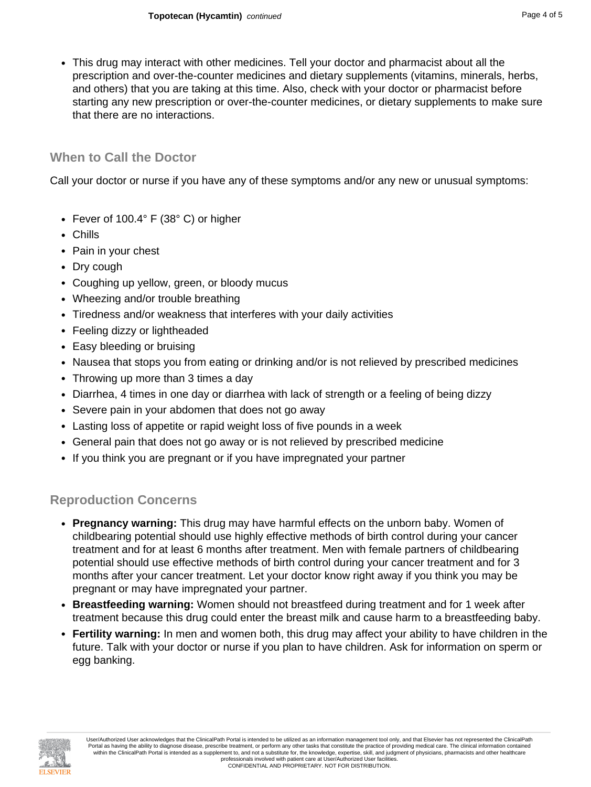• This drug may interact with other medicines. Tell your doctor and pharmacist about all the prescription and over-the-counter medicines and dietary supplements (vitamins, minerals, herbs, and others) that you are taking at this time. Also, check with your doctor or pharmacist before starting any new prescription or over-the-counter medicines, or dietary supplements to make sure that there are no interactions.

#### **When to Call the Doctor**

Call your doctor or nurse if you have any of these symptoms and/or any new or unusual symptoms:

- Fever of 100.4° F (38° C) or higher
- Chills
- Pain in your chest
- Dry cough
- Coughing up yellow, green, or bloody mucus
- Wheezing and/or trouble breathing
- Tiredness and/or weakness that interferes with your daily activities
- Feeling dizzy or lightheaded
- Easy bleeding or bruising
- Nausea that stops you from eating or drinking and/or is not relieved by prescribed medicines
- Throwing up more than 3 times a day
- Diarrhea, 4 times in one day or diarrhea with lack of strength or a feeling of being dizzy
- Severe pain in your abdomen that does not go away
- Lasting loss of appetite or rapid weight loss of five pounds in a week
- General pain that does not go away or is not relieved by prescribed medicine
- If you think you are pregnant or if you have impregnated your partner

#### **Reproduction Concerns**

- **Pregnancy warning:** This drug may have harmful effects on the unborn baby. Women of childbearing potential should use highly effective methods of birth control during your cancer treatment and for at least 6 months after treatment. Men with female partners of childbearing potential should use effective methods of birth control during your cancer treatment and for 3 months after your cancer treatment. Let your doctor know right away if you think you may be pregnant or may have impregnated your partner.
- **Breastfeeding warning:** Women should not breastfeed during treatment and for 1 week after treatment because this drug could enter the breast milk and cause harm to a breastfeeding baby.
- **Fertility warning:** In men and women both, this drug may affect your ability to have children in the future. Talk with your doctor or nurse if you plan to have children. Ask for information on sperm or egg banking.